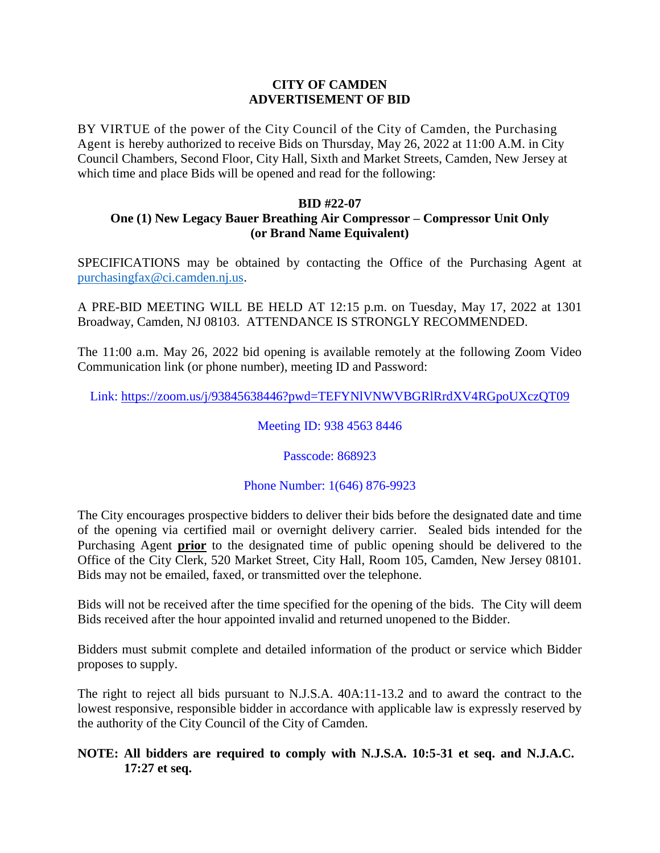#### **CITY OF CAMDEN ADVERTISEMENT OF BID**

BY VIRTUE of the power of the City Council of the City of Camden, the Purchasing Agent is hereby authorized to receive Bids on Thursday, May 26, 2022 at 11:00 A.M. in City Council Chambers, Second Floor, City Hall, Sixth and Market Streets, Camden, New Jersey at which time and place Bids will be opened and read for the following:

### **BID #22-07**

# **One (1) New Legacy Bauer Breathing Air Compressor – Compressor Unit Only (or Brand Name Equivalent)**

SPECIFICATIONS may be obtained by contacting the Office of the Purchasing Agent at [purchasingfax@ci.camden.nj.us.](mailto:purchasingfax@ci.camden.nj.us)

A PRE-BID MEETING WILL BE HELD AT 12:15 p.m. on Tuesday, May 17, 2022 at 1301 Broadway, Camden, NJ 08103. ATTENDANCE IS STRONGLY RECOMMENDED.

The 11:00 a.m. May 26, 2022 bid opening is available remotely at the following Zoom Video Communication link (or phone number), meeting ID and Password:

Link: https://zoom.us/j/93845638446?pwd=TEFYNlVNWVBGRlRrdXV4RGpoUXczQT09

## Meeting ID: 938 4563 8446

# Passcode: 868923

# Phone Number: 1(646) 876-9923

The City encourages prospective bidders to deliver their bids before the designated date and time of the opening via certified mail or overnight delivery carrier. Sealed bids intended for the Purchasing Agent **prior** to the designated time of public opening should be delivered to the Office of the City Clerk, 520 Market Street, City Hall, Room 105, Camden, New Jersey 08101. Bids may not be emailed, faxed, or transmitted over the telephone.

Bids will not be received after the time specified for the opening of the bids. The City will deem Bids received after the hour appointed invalid and returned unopened to the Bidder.

Bidders must submit complete and detailed information of the product or service which Bidder proposes to supply.

The right to reject all bids pursuant to N.J.S.A. 40A:11-13.2 and to award the contract to the lowest responsive, responsible bidder in accordance with applicable law is expressly reserved by the authority of the City Council of the City of Camden.

# **NOTE: All bidders are required to comply with N.J.S.A. 10:5-31 et seq. and N.J.A.C. 17:27 et seq.**